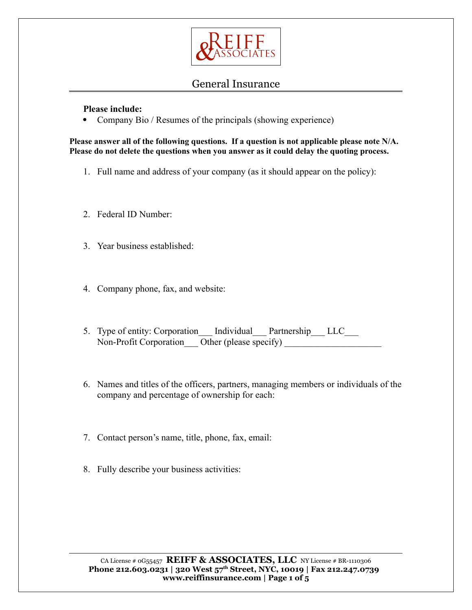

**Please include:**

• Company Bio / Resumes of the principals (showing experience)

**Please answer all of the following questions. If a question is not applicable please note N/A. Please do not delete the questions when you answer as it could delay the quoting process.**

- 1. Full name and address of your company (as it should appear on the policy):
- 2. Federal ID Number:
- 3. Year business established:
- 4. Company phone, fax, and website:
- 5. Type of entity: Corporation \_\_\_ Individual \_\_\_ Partnership \_\_\_ LLC\_\_\_  $Non-Profit Corporation$   $\overline{Other}$  (please specify)
- 6. Names and titles of the officers, partners, managing members or individuals of the company and percentage of ownership for each:
- 7. Contact person's name, title, phone, fax, email:
- 8. Fully describe your business activities: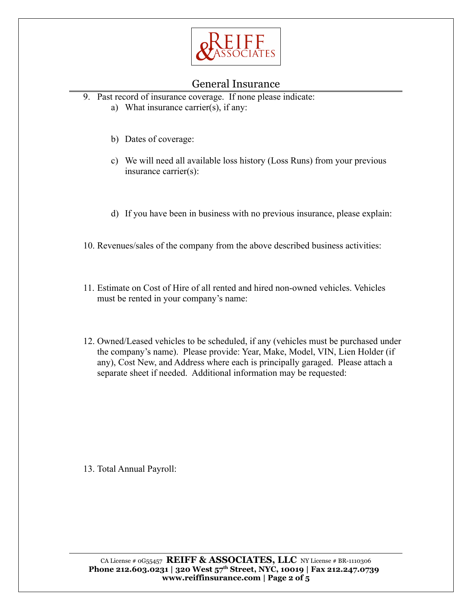

- 9. Past record of insurance coverage. If none please indicate:
	- a) What insurance carrier(s), if any:
	- b) Dates of coverage:
	- c) We will need all available loss history (Loss Runs) from your previous insurance carrier(s):
	- d) If you have been in business with no previous insurance, please explain:
- 10. Revenues/sales of the company from the above described business activities:
- 11. Estimate on Cost of Hire of all rented and hired non-owned vehicles. Vehicles must be rented in your company's name:
- 12. Owned/Leased vehicles to be scheduled, if any (vehicles must be purchased under the company's name). Please provide: Year, Make, Model, VIN, Lien Holder (if any), Cost New, and Address where each is principally garaged. Please attach a separate sheet if needed. Additional information may be requested:

13. Total Annual Payroll: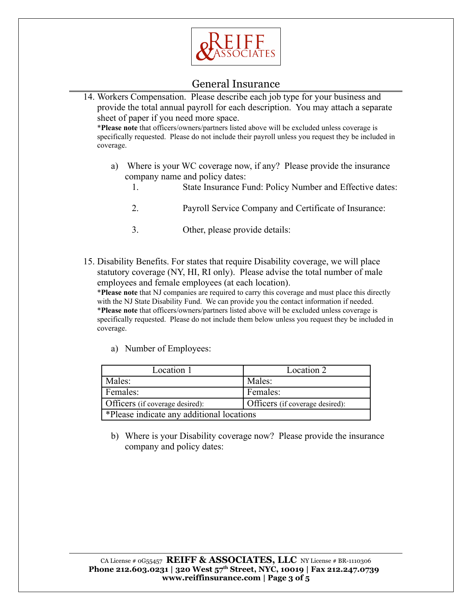

14. Workers Compensation. Please describe each job type for your business and provide the total annual payroll for each description. You may attach a separate sheet of paper if you need more space. \***Please note** that officers/owners/partners listed above will be excluded unless coverage is specifically requested. Please do not include their payroll unless you request they be included in coverage. a) Where is your WC coverage now, if any? Please provide the insurance company name and policy dates: 1. State Insurance Fund: Policy Number and Effective dates:

- 2. Payroll Service Company and Certificate of Insurance:
- 3. Other, please provide details:

15. Disability Benefits. For states that require Disability coverage, we will place statutory coverage (NY, HI, RI only). Please advise the total number of male employees and female employees (at each location).

\***Please note** that NJ companies are required to carry this coverage and must place this directly with the NJ State Disability Fund. We can provide you the contact information if needed. \***Please note** that officers/owners/partners listed above will be excluded unless coverage is specifically requested. Please do not include them below unless you request they be included in coverage.

a) Number of Employees:

| Location 1                                | Location 2                      |
|-------------------------------------------|---------------------------------|
| Males:                                    | Males:                          |
| Females:                                  | Females:                        |
| Officers (if coverage desired):           | Officers (if coverage desired): |
| *Please indicate any additional locations |                                 |

b) Where is your Disability coverage now? Please provide the insurance company and policy dates: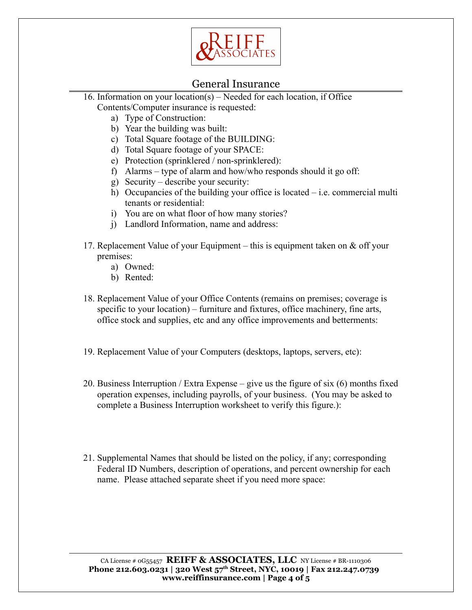

- 16. Information on your location(s) Needed for each location, if Office Contents/Computer insurance is requested:
	- a) Type of Construction:
	- b) Year the building was built:
	- c) Total Square footage of the BUILDING:
	- d) Total Square footage of your SPACE:
	- e) Protection (sprinklered / non-sprinklered):
	- f) Alarms type of alarm and how/who responds should it go off:
	- g) Security describe your security:
	- h) Occupancies of the building your office is located i.e. commercial multi tenants or residential:
	- i) You are on what floor of how many stories?
	- j) Landlord Information, name and address:
- 17. Replacement Value of your Equipment this is equipment taken on & off your premises:
	- a) Owned:
	- b) Rented:
- 18. Replacement Value of your Office Contents (remains on premises; coverage is specific to your location) – furniture and fixtures, office machinery, fine arts, office stock and supplies, etc and any office improvements and betterments:
- 19. Replacement Value of your Computers (desktops, laptops, servers, etc):
- 20. Business Interruption / Extra Expense give us the figure of six (6) months fixed operation expenses, including payrolls, of your business. (You may be asked to complete a Business Interruption worksheet to verify this figure.):
- 21. Supplemental Names that should be listed on the policy, if any; corresponding Federal ID Numbers, description of operations, and percent ownership for each name. Please attached separate sheet if you need more space:

CA License # 0G55457 **REIFF & ASSOCIATES, LLC** NY License # BR-1110306 **Phone 212.603.0231 | 320 West 57th Street, NYC, 10019 | Fax 212.247.0739 www.reiffinsurance.com | Page 4 of 5**